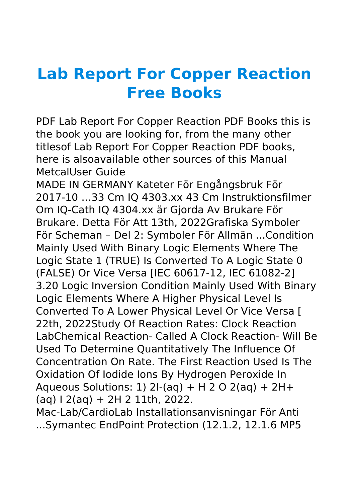## **Lab Report For Copper Reaction Free Books**

PDF Lab Report For Copper Reaction PDF Books this is the book you are looking for, from the many other titlesof Lab Report For Copper Reaction PDF books, here is alsoavailable other sources of this Manual MetcalUser Guide

MADE IN GERMANY Kateter För Engångsbruk För 2017-10 …33 Cm IQ 4303.xx 43 Cm Instruktionsfilmer Om IQ-Cath IQ 4304.xx är Gjorda Av Brukare För Brukare. Detta För Att 13th, 2022Grafiska Symboler För Scheman – Del 2: Symboler För Allmän ...Condition Mainly Used With Binary Logic Elements Where The Logic State 1 (TRUE) Is Converted To A Logic State 0 (FALSE) Or Vice Versa [IEC 60617-12, IEC 61082-2] 3.20 Logic Inversion Condition Mainly Used With Binary Logic Elements Where A Higher Physical Level Is Converted To A Lower Physical Level Or Vice Versa [ 22th, 2022Study Of Reaction Rates: Clock Reaction LabChemical Reaction- Called A Clock Reaction- Will Be Used To Determine Quantitatively The Influence Of Concentration On Rate. The First Reaction Used Is The Oxidation Of Iodide Ions By Hydrogen Peroxide In Aqueous Solutions: 1) 2I-(aq) + H 2 O 2(aq) + 2H+ (aq) I 2(aq) + 2H 2 11th, 2022.

Mac-Lab/CardioLab Installationsanvisningar För Anti ...Symantec EndPoint Protection (12.1.2, 12.1.6 MP5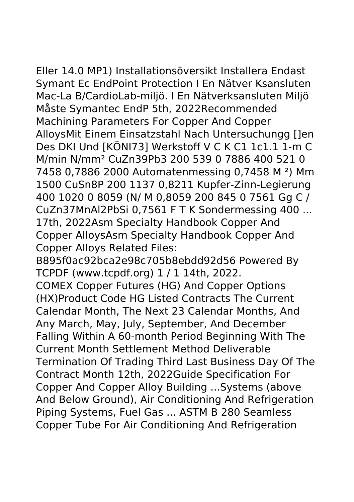Eller 14.0 MP1) Installationsöversikt Installera Endast Symant Ec EndPoint Protection I En Nätver Ksansluten Mac-La B/CardioLab-miljö. I En Nätverksansluten Miljö Måste Symantec EndP 5th, 2022Recommended Machining Parameters For Copper And Copper AlloysMit Einem Einsatzstahl Nach Untersuchungg []en Des DKI Und [KÖNI73] Werkstoff V C K C1 1c1.1 1-m C M/min N/mm² CuZn39Pb3 200 539 0 7886 400 521 0 7458 0,7886 2000 Automatenmessing 0,7458 M ²) Mm 1500 CuSn8P 200 1137 0,8211 Kupfer-Zinn-Legierung 400 1020 0 8059 (N/ M 0,8059 200 845 0 7561 Gg C / CuZn37MnAl2PbSi 0,7561 F T K Sondermessing 400 ... 17th, 2022Asm Specialty Handbook Copper And Copper AlloysAsm Specialty Handbook Copper And

Copper Alloys Related Files:

B895f0ac92bca2e98c705b8ebdd92d56 Powered By TCPDF (www.tcpdf.org) 1 / 1 14th, 2022.

COMEX Copper Futures (HG) And Copper Options (HX)Product Code HG Listed Contracts The Current Calendar Month, The Next 23 Calendar Months, And Any March, May, July, September, And December Falling Within A 60-month Period Beginning With The Current Month Settlement Method Deliverable Termination Of Trading Third Last Business Day Of The Contract Month 12th, 2022Guide Specification For Copper And Copper Alloy Building ...Systems (above And Below Ground), Air Conditioning And Refrigeration Piping Systems, Fuel Gas ... ASTM B 280 Seamless Copper Tube For Air Conditioning And Refrigeration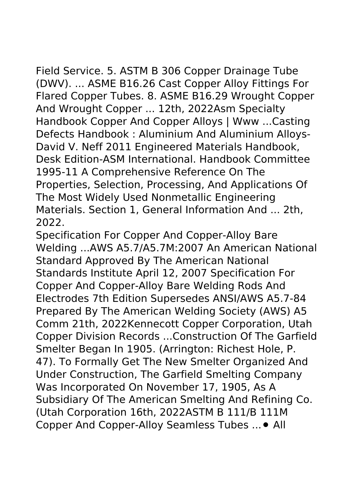Field Service. 5. ASTM B 306 Copper Drainage Tube (DWV). ... ASME B16.26 Cast Copper Alloy Fittings For Flared Copper Tubes. 8. ASME B16.29 Wrought Copper And Wrought Copper ... 12th, 2022Asm Specialty Handbook Copper And Copper Alloys | Www ...Casting Defects Handbook : Aluminium And Aluminium Alloys-David V. Neff 2011 Engineered Materials Handbook, Desk Edition-ASM International. Handbook Committee 1995-11 A Comprehensive Reference On The Properties, Selection, Processing, And Applications Of The Most Widely Used Nonmetallic Engineering

Materials. Section 1, General Information And ... 2th, 2022.

Specification For Copper And Copper-Alloy Bare Welding ...AWS A5.7/A5.7M:2007 An American National Standard Approved By The American National Standards Institute April 12, 2007 Specification For Copper And Copper-Alloy Bare Welding Rods And Electrodes 7th Edition Supersedes ANSI/AWS A5.7-84 Prepared By The American Welding Society (AWS) A5 Comm 21th, 2022Kennecott Copper Corporation, Utah Copper Division Records ...Construction Of The Garfield Smelter Began In 1905. (Arrington: Richest Hole, P. 47). To Formally Get The New Smelter Organized And Under Construction, The Garfield Smelting Company Was Incorporated On November 17, 1905, As A Subsidiary Of The American Smelting And Refining Co. (Utah Corporation 16th, 2022ASTM B 111/B 111M Copper And Copper-Alloy Seamless Tubes ...⚫ All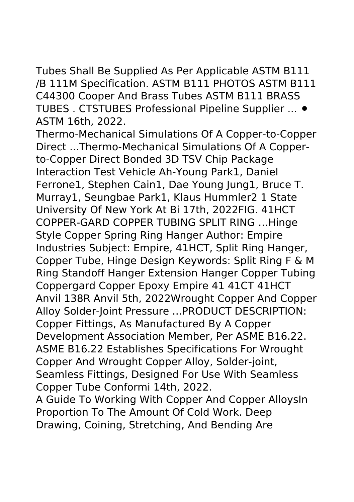Tubes Shall Be Supplied As Per Applicable ASTM B111 /B 111M Specification. ASTM B111 PHOTOS ASTM B111 C44300 Cooper And Brass Tubes ASTM B111 BRASS TUBES . CTSTUBES Professional Pipeline Supplier ... ⚫ ASTM 16th, 2022.

Thermo-Mechanical Simulations Of A Copper-to-Copper Direct ...Thermo-Mechanical Simulations Of A Copperto-Copper Direct Bonded 3D TSV Chip Package Interaction Test Vehicle Ah-Young Park1, Daniel Ferrone1, Stephen Cain1, Dae Young Jung1, Bruce T. Murray1, Seungbae Park1, Klaus Hummler2 1 State University Of New York At Bi 17th, 2022FIG. 41HCT COPPER-GARD COPPER TUBING SPLIT RING …Hinge Style Copper Spring Ring Hanger Author: Empire Industries Subject: Empire, 41HCT, Split Ring Hanger, Copper Tube, Hinge Design Keywords: Split Ring F & M Ring Standoff Hanger Extension Hanger Copper Tubing Coppergard Copper Epoxy Empire 41 41CT 41HCT Anvil 138R Anvil 5th, 2022Wrought Copper And Copper Alloy Solder-Joint Pressure ...PRODUCT DESCRIPTION: Copper Fittings, As Manufactured By A Copper Development Association Member, Per ASME B16.22. ASME B16.22 Establishes Specifications For Wrought Copper And Wrought Copper Alloy, Solder-joint, Seamless Fittings, Designed For Use With Seamless Copper Tube Conformi 14th, 2022. A Guide To Working With Copper And Copper AlloysIn

Proportion To The Amount Of Cold Work. Deep Drawing, Coining, Stretching, And Bending Are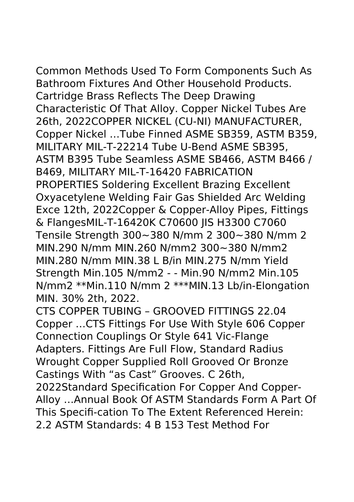Common Methods Used To Form Components Such As Bathroom Fixtures And Other Household Products. Cartridge Brass Reflects The Deep Drawing Characteristic Of That Alloy. Copper Nickel Tubes Are 26th, 2022COPPER NICKEL (CU-NI) MANUFACTURER, Copper Nickel …Tube Finned ASME SB359, ASTM B359, MILITARY MIL-T-22214 Tube U-Bend ASME SB395, ASTM B395 Tube Seamless ASME SB466, ASTM B466 / B469, MILITARY MIL-T-16420 FABRICATION PROPERTIES Soldering Excellent Brazing Excellent Oxyacetylene Welding Fair Gas Shielded Arc Welding Exce 12th, 2022Copper & Copper-Alloy Pipes, Fittings & FlangesMIL-T-16420K C70600 JIS H3300 C7060 Tensile Strength 300~380 N/mm 2 300~380 N/mm 2 MIN.290 N/mm MIN.260 N/mm2 300~380 N/mm2 MIN.280 N/mm MIN.38 L B/in MIN.275 N/mm Yield

Strength Min.105 N/mm2 - - Min.90 N/mm2 Min.105 N/mm2 \*\*Min.110 N/mm 2 \*\*\*MIN.13 Lb/in-Elongation MIN. 30% 2th, 2022.

CTS COPPER TUBING – GROOVED FITTINGS 22.04 Copper …CTS Fittings For Use With Style 606 Copper Connection Couplings Or Style 641 Vic-Flange Adapters. Fittings Are Full Flow, Standard Radius Wrought Copper Supplied Roll Grooved Or Bronze Castings With "as Cast" Grooves. C 26th, 2022Standard Specification For Copper And Copper-Alloy …Annual Book Of ASTM Standards Form A Part Of This Specifi-cation To The Extent Referenced Herein: 2.2 ASTM Standards: 4 B 153 Test Method For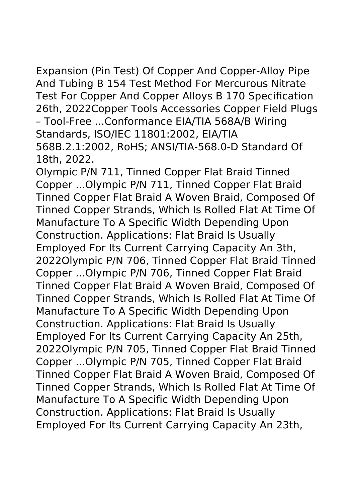Expansion (Pin Test) Of Copper And Copper-Alloy Pipe And Tubing B 154 Test Method For Mercurous Nitrate Test For Copper And Copper Alloys B 170 Specification 26th, 2022Copper Tools Accessories Copper Field Plugs – Tool-Free ...Conformance EIA/TIA 568A/B Wiring Standards, ISO/IEC 11801:2002, EIA/TIA 568B.2.1:2002, RoHS; ANSI/TIA-568.0-D Standard Of 18th, 2022.

Olympic P/N 711, Tinned Copper Flat Braid Tinned Copper ...Olympic P/N 711, Tinned Copper Flat Braid Tinned Copper Flat Braid A Woven Braid, Composed Of Tinned Copper Strands, Which Is Rolled Flat At Time Of Manufacture To A Specific Width Depending Upon Construction. Applications: Flat Braid Is Usually Employed For Its Current Carrying Capacity An 3th, 2022Olympic P/N 706, Tinned Copper Flat Braid Tinned Copper ...Olympic P/N 706, Tinned Copper Flat Braid Tinned Copper Flat Braid A Woven Braid, Composed Of Tinned Copper Strands, Which Is Rolled Flat At Time Of Manufacture To A Specific Width Depending Upon Construction. Applications: Flat Braid Is Usually Employed For Its Current Carrying Capacity An 25th, 2022Olympic P/N 705, Tinned Copper Flat Braid Tinned Copper ...Olympic P/N 705, Tinned Copper Flat Braid Tinned Copper Flat Braid A Woven Braid, Composed Of Tinned Copper Strands, Which Is Rolled Flat At Time Of Manufacture To A Specific Width Depending Upon Construction. Applications: Flat Braid Is Usually Employed For Its Current Carrying Capacity An 23th,